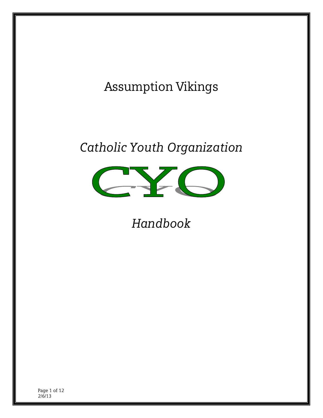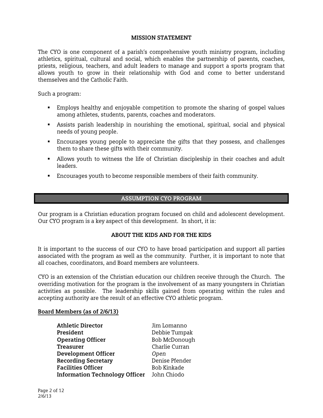#### **MISSION STATEMENT**

The CYO is one component of a parish's comprehensive youth ministry program, including athletics, spiritual, cultural and social, which enables the partnership of parents, coaches, priests, religious, teachers, and adult leaders to manage and support a sports program that allows youth to grow in their relationship with God and come to better understand themselves and the Catholic Faith.

Such a program:

- Employs healthy and enjoyable competition to promote the sharing of gospel values among athletes, students, parents, coaches and moderators.
- Assists parish leadership in nourishing the emotional, spiritual, social and physical needs of young people.
- Encourages young people to appreciate the gifts that they possess, and challenges them to share these gifts with their community.
- Allows youth to witness the life of Christian discipleship in their coaches and adult leaders.
- Encourages youth to become responsible members of their faith community.

# **ASSUMPTION CYO PROGRAM**

Our program is a Christian education program focused on child and adolescent development. Our CYO program is a key aspect of this development. In short, it is:

#### **ABOUT THE KIDS AND FOR THE KIDS**

It is important to the success of our CYO to have broad participation and support all parties associated with the program as well as the community. Further, it is important to note that all coaches, coordinators, and Board members are volunteers.

CYO is an extension of the Christian education our children receive through the Church. The overriding motivation for the program is the involvement of as many youngsters in Christian activities as possible. The leadership skills gained from operating within the rules and accepting authority are the result of an effective CYO athletic program.

#### **Board Members (as of 2/6/13)**

| <b>Athletic Director</b>              | Jim Lomanno    |
|---------------------------------------|----------------|
| President                             | Debbie Tumpak  |
| <b>Operating Officer</b>              | Bob McDonough  |
| <b>Treasurer</b>                      | Charlie Curran |
| <b>Development Officer</b>            | Open           |
| <b>Recording Secretary</b>            | Denise Pfender |
| <b>Facilities Officer</b>             | Bob Kinkade    |
| <b>Information Technology Officer</b> | John Chiodo    |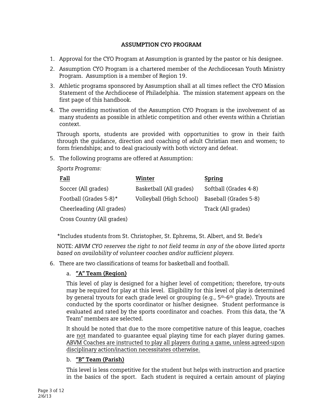# **ASSUMPTION CYO PROGRAM**

- 1. Approval for the CYO Program at Assumption is granted by the pastor or his designee.
- 2. Assumption CYO Program is a chartered member of the Archdiocesan Youth Ministry Program. Assumption is a member of Region 19.
- 3. Athletic programs sponsored by Assumption shall at all times reflect the CYO Mission Statement of the Archdiocese of Philadelphia. The mission statement appears on the first page of this handbook.
- 4. The overriding motivation of the Assumption CYO Program is the involvement of as many students as possible in athletic competition and other events within a Christian context.

Through sports, students are provided with opportunities to grow in their faith through the guidance, direction and coaching of adult Christian men and women; to form friendships; and to deal graciously with both victory and defeat.

5. The following programs are offered at Assumption:

*Sports Programs:* 

| <u>Fall</u>                | Winter                   | Spring                |
|----------------------------|--------------------------|-----------------------|
| Soccer (All grades)        | Basketball (All grades)  | Softball (Grades 4-8) |
| Football (Grades 5-8)*     | Volleyball (High School) | Baseball (Grades 5-8) |
| Cheerleading (All grades)  |                          | Track (All grades)    |
| Cross Country (All grades) |                          |                       |

\*Includes students from St. Christopher, St. Ephrems, St. Albert, and St. Bede's

NOTE: *ABVM CYO reserves the right to not field teams in any of the above listed sports based on availability of volunteer coaches and/or sufficient players.*

6. There are two classifications of teams for basketball and football.

# a. **"A" Team (Region)**

This level of play is designed for a higher level of competition; therefore, try-outs may be required for play at this level. Eligibility for this level of play is determined by general tryouts for each grade level or grouping (e.g., 5<sup>th</sup>-6<sup>th</sup> grade). Tryouts are conducted by the sports coordinator or his/her designee. Student performance is evaluated and rated by the sports coordinator and coaches. From this data, the "A Team" members are selected.

It should be noted that due to the more competitive nature of this league, coaches are not mandated to guarantee equal playing time for each player during games. ABVM Coaches are instructed to play all players during a game, unless agreed-upon disciplinary action/inaction necessitates otherwise.

# b. **"B" Team (Parish)**

This level is less competitive for the student but helps with instruction and practice in the basics of the sport. Each student is required a certain amount of playing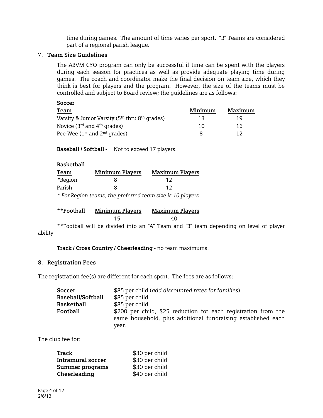time during games. The amount of time varies per sport. "B" Teams are considered part of a regional parish league.

### 7. **Team Size Guidelines**

The ABVM CYO program can only be successful if time can be spent with the players during each season for practices as well as provide adequate playing time during games. The coach and coordinator make the final decision on team size, which they think is best for players and the program. However, the size of the teams must be controlled and subject to Board review; the guidelines are as follows:

| Soccer                                                                 |         |         |
|------------------------------------------------------------------------|---------|---------|
| Team                                                                   | Minimum | Maximum |
| Varsity & Junior Varsity (5 <sup>th</sup> thru 8 <sup>th</sup> grades) | 13      | 19      |
| Novice ( $3^{rd}$ and $4^{th}$ grades)                                 | 10      | 16      |
| Pee-Wee $(1st$ and $2nd$ grades)                                       | 8       | 17      |

**Baseball / Softball -** Not to exceed 17 players.

| <b>Basketball</b>             |                        |                        |
|-------------------------------|------------------------|------------------------|
| Team                          | <b>Minimum Players</b> | <b>Maximum Players</b> |
| *Region                       |                        | 17                     |
| Parish                        |                        | 1つ                     |
| $\mathbf{r}$ and $\mathbf{r}$ |                        |                        |

*\* For Region teams, the preferred team size is 10 players* 

| **Football | <b>Minimum Players</b> | <b>Maximum Players</b> |
|------------|------------------------|------------------------|
|            |                        | 40                     |

\*\*Football will be divided into an "A" Team and "B" team depending on level of player ability

**Track / Cross Country / Cheerleading -** no team maximums.

#### **8. Registration Fees**

The registration fee(s) are different for each sport. The fees are as follows:

| Soccer            | \$85 per child (add discounted rates for families)                                                                                      |  |  |
|-------------------|-----------------------------------------------------------------------------------------------------------------------------------------|--|--|
| Baseball/Softball | \$85 per child                                                                                                                          |  |  |
| <b>Basketball</b> | \$85 per child                                                                                                                          |  |  |
| Football          | \$200 per child, \$25 reduction for each registration from the<br>same household, plus additional fundraising established each<br>year. |  |  |

The club fee for:

| Track                    | \$30 per child |
|--------------------------|----------------|
| <b>Intramural soccer</b> | \$30 per child |
| <b>Summer programs</b>   | \$30 per child |
| Cheerleading             | \$40 per child |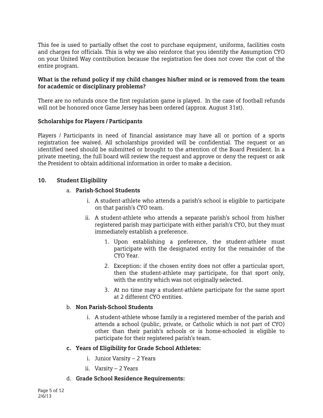This fee is used to partially offset the cost to purchase equipment, uniforms, facilities costs and charges for officials. This is why we also reinforce that you identify the Assumption CYO on your United Way contribution because the registration fee does not cover the cost of the entire program.

#### **What is the refund policy if my child changes his/her mind or is removed from the team for academic or disciplinary problems?**

There are no refunds once the first regulation game is played. In the case of football refunds will not be honored once Game Jersey has been ordered (approx. August 31st).

### **Scholarships for Players / Participants**

Players / Participants in need of financial assistance may have all or portion of a sports registration fee waived. All scholarships provided will be confidential. The request or an identified need should be submitted or brought to the attention of the Board President. In a private meeting, the full board will review the request and approve or deny the request or ask the President to obtain additional information in order to make a decision.

### **10. Student Eligibility**

### a. **Parish-School Students**

- i. A student-athlete who attends a parish's school is eligible to participate on that parish's CYO team.
- ii. A student-athlete who attends a separate parish's school from his/her registered parish may participate with either parish's CYO, but they must immediately establish a preference.
	- 1. Upon establishing a preference, the student-athlete must participate with the designated entity for the remainder of the CYO Year.
	- 2. Exception: if the chosen entity does not offer a particular sport, then the student-athlete may participate, for that sport only, with the entity which was not originally selected.
	- 3. At no time may a student-athlete participate for the same sport at 2 different CYO entities.

#### b. **Non Parish-School Students**

i. A student-athlete whose family is a registered member of the parish and attends a school (public, private, or Catholic which is not part of CYO) other than their parish's schools or is home-schooled is eligible to participate for their registered parish's team.

#### **c. Years of Eligibility for Grade School Athletes:**

- i. Junior Varsity 2 Years
- ii. Varsity 2 Years
- d. **Grade School Residence Requirements:**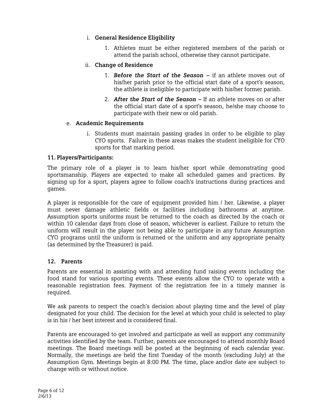## i. **General Residence Eligibility**

1. Athletes must be either registered members of the parish or attend the parish school, otherwise they cannot participate.

## ii. **Change of Residence**

- 1. *Before the Start of the Season* if an athlete moves out of his/her parish prior to the official start date of a sport's season, the athlete is ineligible to participate with his/her former parish.
- 2. *After the Start of the Season –* If an athlete moves on or after the official start date of a sport's season, he/she may choose to participate with their new or old parish.

## e. **Academic Requirements**

i. Students must maintain passing grades in order to be eligible to play CYO sports. Failure in these areas makes the student ineligible for CYO sports for that marking period.

### **11. Players/Participants:**

The primary role of a player is to learn his/her sport while demonstrating good sportsmanship. Players are expected to make all scheduled games and practices. By signing up for a sport, players agree to follow coach's instructions during practices and games.

A player is responsible for the care of equipment provided him / her. Likewise, a player must never damage athletic fields or facilities including bathrooms at anytime. Assumption sports uniforms must be returned to the coach as directed by the coach or within 10 calendar days from close of season, whichever is earliest. Failure to return the uniform will result in the player not being able to participate in any future Assumption CYO programs until the uniform is returned or the uniform and any appropriate penalty (as determined by the Treasurer) is paid.

## **12. Parents**

Parents are essential in assisting with and attending fund raising events including the food stand for various sporting events. These events allow the CYO to operate with a reasonable registration fees. Payment of the registration fee in a timely manner is required.

We ask parents to respect the coach's decision about playing time and the level of play designated for your child. The decision for the level at which your child is selected to play is in his / her best interest and is considered final.

Parents are encouraged to get involved and participate as well as support any community activities identified by the team. Further, parents are encouraged to attend monthly Board meetings. The Board meetings will be posted at the beginning of each calendar year. Normally, the meetings are held the first Tuesday of the month (excluding July) at the Assumption Gym. Meetings begin at 8:00 PM. The time, place and/or date are subject to change with or without notice.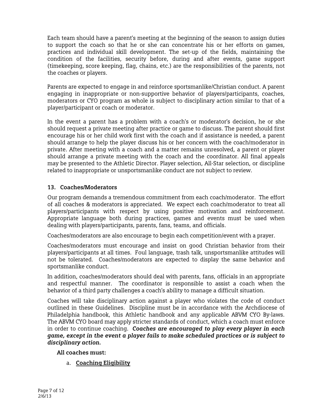Each team should have a parent's meeting at the beginning of the season to assign duties to support the coach so that he or she can concentrate his or her efforts on games, practices and individual skill development. The set-up of the fields, maintaining the condition of the facilities, security before, during and after events, game support (timekeeping, score keeping, flag, chains, etc.) are the responsibilities of the parents, not the coaches or players.

Parents are expected to engage in and reinforce sportsmanlike/Christian conduct. A parent engaging in inappropriate or non-supportive behavior of players/participants, coaches, moderators or CYO program as whole is subject to disciplinary action similar to that of a player/participant or coach or moderator.

In the event a parent has a problem with a coach's or moderator's decision, he or she should request a private meeting after practice or game to discuss. The parent should first encourage his or her child work first with the coach and if assistance is needed, a parent should arrange to help the player discuss his or her concern with the coach/moderator in private. After meeting with a coach and a matter remains unresolved, a parent or player should arrange a private meeting with the coach and the coordinator. All final appeals may be presented to the Athletic Director. Player selection, All-Star selection, or discipline related to inappropriate or unsportsmanlike conduct are not subject to review.

## **13. Coaches/Moderators**

Our program demands a tremendous commitment from each coach/moderator. The effort of all coaches & moderators is appreciated. We expect each coach/moderator to treat all players/participants with respect by using positive motivation and reinforcement. Appropriate language both during practices, games and events must be used when dealing with players/participants, parents, fans, teams, and officials.

Coaches/moderators are also encourage to begin each competition/event with a prayer.

Coaches/moderators must encourage and insist on good Christian behavior from their players/participants at all times. Foul language, trash talk, unsportsmanlike attitudes will not be tolerated. Coaches/moderators are expected to display the same behavior and sportsmanlike conduct.

In addition, coaches/moderators should deal with parents, fans, officials in an appropriate and respectful manner. The coordinator is responsible to assist a coach when the behavior of a third party challenges a coach's ability to manage a difficult situation.

Coaches will take disciplinary action against a player who violates the code of conduct outlined in these Guidelines. Discipline must be in accordance with the Archdiocese of Philadelphia handbook, this Athletic handbook and any applicable ABVM CYO By-laws. The ABVM CYO board may apply stricter standards of conduct, which a coach must enforce in order to continue coaching. *Coaches are encouraged to play every player in each game, except in the event a player fails to make scheduled practices or is subject to disciplinary action.* 

**All coaches must:** 

a. **Coaching Eligibility**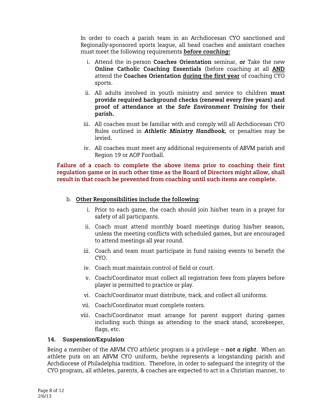In order to coach a parish team in an Archdiocesan CYO sanctioned and Regionally-sponsored sports league, all head coaches and assistant coaches must meet the following requirements *before coaching:*

- i. Attend the in-person **Coaches Orientation** seminar, *or* Take the new **Online Catholic Coaching Essentials** (before coaching at all **AND**  attend the **Coaches Orientation during the first year** of coaching CYO sports.
- ii. All adults involved in youth ministry and service to children **must provide required background checks (renewal every five years) and proof of attendance at the** *Safe Environment Training* **for their parish.**
- iii. All coaches must be familiar with and comply will all Archdiocesan CYO Rules outlined in *Athletic Ministry Handbook,* or penalties may be levied.
- iv. All coaches must meet any additional requirements of ABVM parish and Region 19 or AOP Football.

**Failure of a coach to complete the above items prior to coaching their first regulation game or in such other time as the Board of Directors might allow, shall result in that coach be prevented from coaching until such items are complete.** 

- b. **Other Responsibilities include the following**:
	- i. Prior to each game, the coach should join his/her team in a prayer for safety of all participants.
	- ii. Coach must attend monthly board meetings during his/her season, unless the meeting conflicts with scheduled games, but are encouraged to attend meetings all year round.
	- iii. Coach and team must participate in fund raising events to benefit the CYO.
	- iv. Coach must maintain control of field or court.
	- v. Coach/Coordinator must collect all registration fees from players before player is permitted to practice or play.
	- vi. Coach/Coordinator must distribute, track, and collect all uniforms.
	- vii. Coach/Coordinator must complete rosters.
	- viii. Coach/Coordinator must arrange for parent support during games including such things as attending to the snack stand, scorekeeper, flags, etc.

#### **14. Suspension/Expulsion**

Being a member of the ABVM CYO athletic program is a privilege – *not a right*. When an athlete puts on an ABVM CYO uniform, he/she represents a longstanding parish and Archdiocese of Philadelphia tradition. Therefore, in order to safeguard the integrity of the CYO program, all athletes, parents, & coaches are expected to act in a Christian manner, to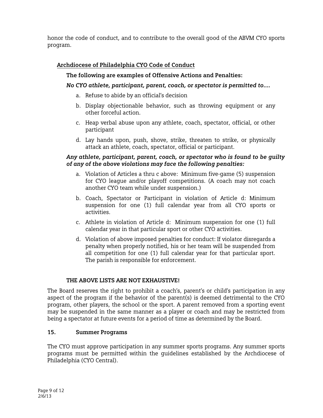honor the code of conduct, and to contribute to the overall good of the ABVM CYO sports program.

# **Archdiocese of Philadelphia CYO Code of Conduct**

# **The following are examples of Offensive Actions and Penalties:**

# *No CYO athlete, participant, parent, coach, or spectator is permitted to….*

- a. Refuse to abide by an official's decision
- b. Display objectionable behavior, such as throwing equipment or any other forceful action.
- c. Heap verbal abuse upon any athlete, coach, spectator, official, or other participant
- d. Lay hands upon, push, shove, strike, threaten to strike, or physically attack an athlete, coach, spectator, official or participant.

## *Any athlete, participant, parent, coach, or spectator who is found to be guilty of any of the above violations may face the following penalties:*

- a. Violation of Articles a thru c above: Minimum five-game (5) suspension for CYO league and/or playoff competitions. (A coach may not coach another CYO team while under suspension.)
- b. Coach, Spectator or Participant in violation of Article d: Minimum suspension for one (1) full calendar year from all CYO sports or activities.
- c. Athlete in violation of Article d: Minimum suspension for one (1) full calendar year in that particular sport or other CYO activities.
- d. Violation of above imposed penalties for conduct: If violator disregards a penalty when properly notified, his or her team will be suspended from all competition for one (1) full calendar year for that particular sport. The parish is responsible for enforcement.

## **THE ABOVE LISTS ARE NOT EXHAUSTIVE!**

The Board reserves the right to prohibit a coach's, parent's or child's participation in any aspect of the program if the behavior of the parent(s) is deemed detrimental to the CYO program, other players, the school or the sport. A parent removed from a sporting event may be suspended in the same manner as a player or coach and may be restricted from being a spectator at future events for a period of time as determined by the Board.

## **15. Summer Programs**

The CYO must approve participation in any summer sports programs. Any summer sports programs must be permitted within the guidelines established by the Archdiocese of Philadelphia (CYO Central).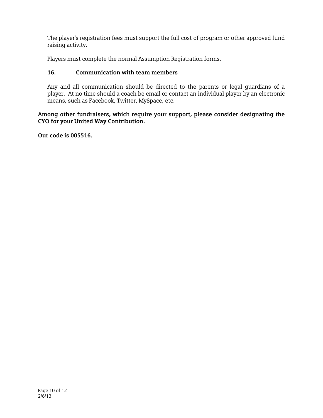The player's registration fees must support the full cost of program or other approved fund raising activity.

Players must complete the normal Assumption Registration forms.

# **16. Communication with team members**

Any and all communication should be directed to the parents or legal guardians of a player. At no time should a coach be email or contact an individual player by an electronic means, such as Facebook, Twitter, MySpace, etc.

**Among other fundraisers, which require your support, please consider designating the CYO for your United Way Contribution.** 

**Our code is 005516.**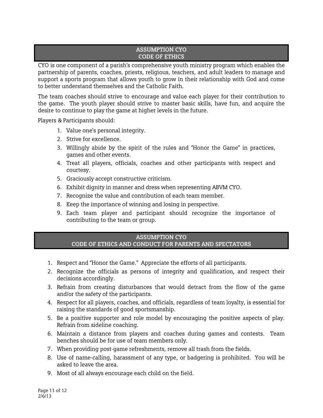#### **ASSUMPTION CYO CODE OF ETHICS**

CYO is one component of a parish's comprehensive youth ministry program which enables the partnership of parents, coaches, priests, religious, teachers, and adult leaders to manage and support a sports program that allows youth to grow in their relationship with God and come to better understand themselves and the Catholic Faith.

The team coaches should strive to encourage and value each player for their contribution to the game. The youth player should strive to master basic skills, have fun, and acquire the desire to continue to play the game at higher levels in the future.

Players & Participants should:

- 1. Value one's personal integrity.
- 2. Strive for excellence.
- 3. Willingly abide by the spirit of the rules and "Honor the Game" in practices, games and other events.
- 4. Treat all players, officials, coaches and other participants with respect and courtesy.
- 5. Graciously accept constructive criticism.
- 6. Exhibit dignity in manner and dress when representing ABVM CYO.
- 7. Recognize the value and contribution of each team member.
- 8. Keep the importance of winning and losing in perspective.
- 9. Each team player and participant should recognize the importance of contributing to the team or group.

#### **ASSUMPTION CYO CODE OF ETHICS AND CONDUCT FOR PARENTS AND SPECTATORS**

- 1. Respect and "Honor the Game." Appreciate the efforts of all participants.
- 2. Recognize the officials as persons of integrity and qualification, and respect their decisions accordingly.
- 3. Refrain from creating disturbances that would detract from the flow of the game and/or the safety of the participants.
- 4. Respect for all players, coaches, and officials, regardless of team loyalty, is essential for raising the standards of good sportsmanship.
- 5. Be a positive supporter and role model by encouraging the positive aspects of play. Refrain from sideline coaching.
- 6. Maintain a distance from players and coaches during games and contests. Team benches should be for use of team members only.
- 7. When providing post-game refreshments, remove all trash from the fields.
- 8. Use of name-calling, harassment of any type, or badgering is prohibited. You will be asked to leave the area.
- 9. Most of all always encourage each child on the field.